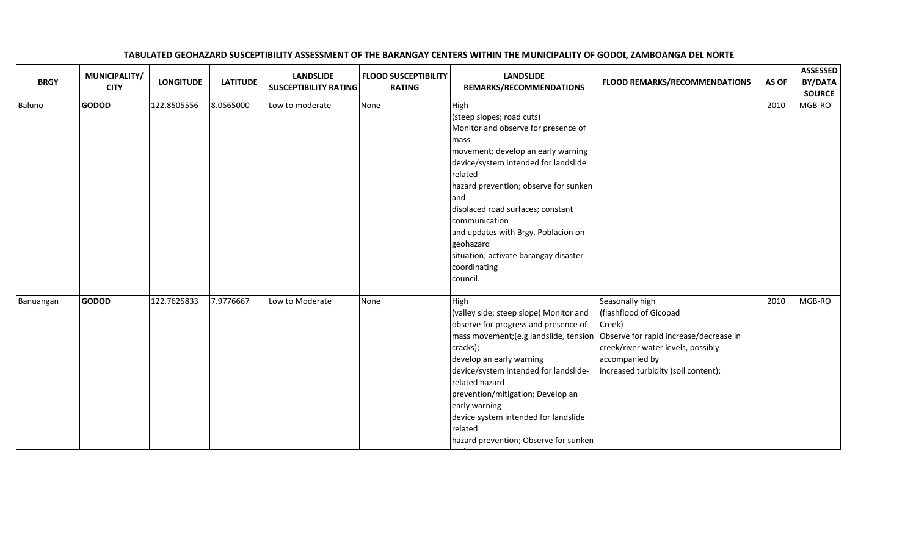| <b>BRGY</b> | MUNICIPALITY/<br><b>CITY</b> | <b>LONGITUDE</b> | <b>LATITUDE</b> | <b>LANDSLIDE</b><br><b>SUSCEPTIBILITY RATING</b> | <b>FLOOD SUSCEPTIBILITY</b><br><b>RATING</b> | <b>LANDSLIDE</b><br>REMARKS/RECOMMENDATIONS                                                                                                                                                                                                                                                                                                                                                               | <b>FLOOD REMARKS/RECOMMENDATIONS</b>                                                                                                                                                         | AS OF | <b>ASSESSED</b><br>BY/DATA<br><b>SOURCE</b> |
|-------------|------------------------------|------------------|-----------------|--------------------------------------------------|----------------------------------------------|-----------------------------------------------------------------------------------------------------------------------------------------------------------------------------------------------------------------------------------------------------------------------------------------------------------------------------------------------------------------------------------------------------------|----------------------------------------------------------------------------------------------------------------------------------------------------------------------------------------------|-------|---------------------------------------------|
| Baluno      | <b>GODOD</b>                 | 122.8505556      | 8.0565000       | Low to moderate                                  | None                                         | High<br>(steep slopes; road cuts)<br>Monitor and observe for presence of<br>mass<br>movement; develop an early warning<br>device/system intended for landslide<br>related<br>hazard prevention; observe for sunken<br>land<br>displaced road surfaces; constant<br>communication<br>and updates with Brgy. Poblacion on<br>geohazard<br>situation; activate barangay disaster<br>coordinating<br>council. |                                                                                                                                                                                              | 2010  | MGB-RO                                      |
| Banuangan   | <b>GODOD</b>                 | 122.7625833      | 7.9776667       | Low to Moderate                                  | None                                         | High<br>(valley side; steep slope) Monitor and<br>observe for progress and presence of<br>mass movement; (e.g landslide, tension<br>cracks);<br>develop an early warning<br>device/system intended for landslide-<br>related hazard<br>prevention/mitigation; Develop an<br>early warning<br>device system intended for landslide<br>related<br>hazard prevention; Observe for sunken                     | Seasonally high<br>(flashflood of Gicopad<br>Creek)<br>Observe for rapid increase/decrease in<br>creek/river water levels, possibly<br>accompanied by<br>increased turbidity (soil content); | 2010  | MGB-RO                                      |

and

## TABULATED GEOHAZARD SUSCEPTIBILITY ASSESSMENT OF THE BARANGAY CENTERS WITHIN THE MUNICIPALITY OF GODOI, ZAMBOANGA DEL NORTE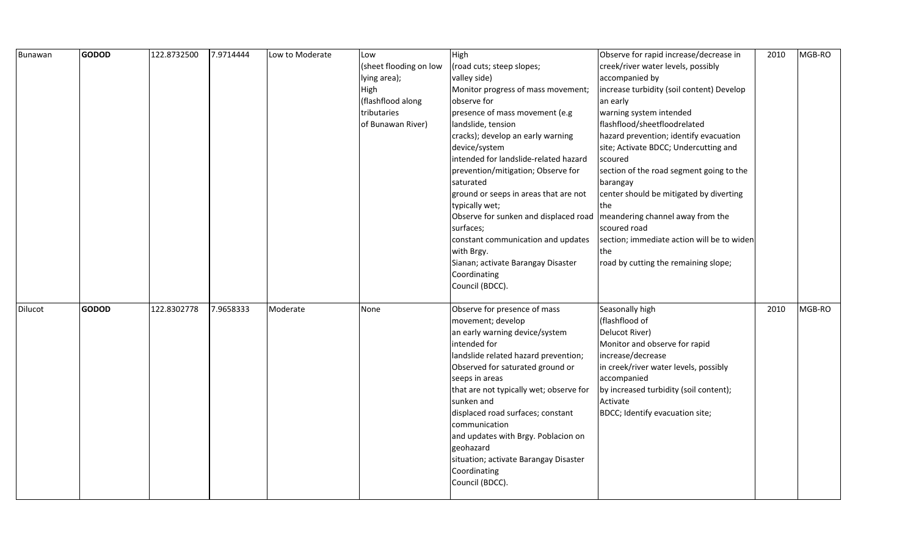| Bunawan | <b>GODOD</b> | 122.8732500 | 7.9714444 | Low to Moderate | Low                    | High                                                                     | Observe for rapid increase/decrease in               | 2010 | MGB-RO |
|---------|--------------|-------------|-----------|-----------------|------------------------|--------------------------------------------------------------------------|------------------------------------------------------|------|--------|
|         |              |             |           |                 | (sheet flooding on low | (road cuts; steep slopes;                                                | creek/river water levels, possibly                   |      |        |
|         |              |             |           |                 | lying area);           | valley side)                                                             | accompanied by                                       |      |        |
|         |              |             |           |                 | High                   | Monitor progress of mass movement;                                       | increase turbidity (soil content) Develop            |      |        |
|         |              |             |           |                 | (flashflood along      | observe for                                                              | an early                                             |      |        |
|         |              |             |           |                 | tributaries            | presence of mass movement (e.g                                           | warning system intended                              |      |        |
|         |              |             |           |                 | of Bunawan River)      | landslide, tension                                                       | flashflood/sheetfloodrelated                         |      |        |
|         |              |             |           |                 |                        | cracks); develop an early warning                                        | hazard prevention; identify evacuation               |      |        |
|         |              |             |           |                 |                        | device/system                                                            | site; Activate BDCC; Undercutting and                |      |        |
|         |              |             |           |                 |                        | intended for landslide-related hazard                                    | scoured                                              |      |        |
|         |              |             |           |                 |                        | prevention/mitigation; Observe for                                       | section of the road segment going to the             |      |        |
|         |              |             |           |                 |                        | saturated                                                                | barangay                                             |      |        |
|         |              |             |           |                 |                        | ground or seeps in areas that are not                                    | center should be mitigated by diverting              |      |        |
|         |              |             |           |                 |                        | typically wet;                                                           | the                                                  |      |        |
|         |              |             |           |                 |                        | Observe for sunken and displaced road   meandering channel away from the |                                                      |      |        |
|         |              |             |           |                 |                        | surfaces;                                                                | scoured road                                         |      |        |
|         |              |             |           |                 |                        | constant communication and updates                                       | section; immediate action will be to widen           |      |        |
|         |              |             |           |                 |                        | with Brgy.                                                               | the                                                  |      |        |
|         |              |             |           |                 |                        | Sianan; activate Barangay Disaster                                       | road by cutting the remaining slope;                 |      |        |
|         |              |             |           |                 |                        | Coordinating                                                             |                                                      |      |        |
|         |              |             |           |                 |                        | Council (BDCC).                                                          |                                                      |      |        |
| Dilucot | <b>GODOD</b> | 122.8302778 | 7.9658333 | Moderate        | None                   | Observe for presence of mass                                             | Seasonally high                                      | 2010 | MGB-RO |
|         |              |             |           |                 |                        | movement; develop                                                        | (flashflood of                                       |      |        |
|         |              |             |           |                 |                        | an early warning device/system                                           | Delucot River)                                       |      |        |
|         |              |             |           |                 |                        | intended for                                                             | Monitor and observe for rapid                        |      |        |
|         |              |             |           |                 |                        | landslide related hazard prevention;                                     | increase/decrease                                    |      |        |
|         |              |             |           |                 |                        |                                                                          |                                                      |      |        |
|         |              |             |           |                 |                        | Observed for saturated ground or<br>seeps in areas                       | in creek/river water levels, possibly<br>accompanied |      |        |
|         |              |             |           |                 |                        | that are not typically wet; observe for                                  | by increased turbidity (soil content);               |      |        |
|         |              |             |           |                 |                        | sunken and                                                               | Activate                                             |      |        |
|         |              |             |           |                 |                        | displaced road surfaces; constant                                        | BDCC; Identify evacuation site;                      |      |        |
|         |              |             |           |                 |                        | communication                                                            |                                                      |      |        |
|         |              |             |           |                 |                        |                                                                          |                                                      |      |        |
|         |              |             |           |                 |                        | and updates with Brgy. Poblacion on<br>geohazard                         |                                                      |      |        |
|         |              |             |           |                 |                        | situation; activate Barangay Disaster                                    |                                                      |      |        |
|         |              |             |           |                 |                        |                                                                          |                                                      |      |        |
|         |              |             |           |                 |                        | Coordinating                                                             |                                                      |      |        |
|         |              |             |           |                 |                        | Council (BDCC).                                                          |                                                      |      |        |
|         |              |             |           |                 |                        |                                                                          |                                                      |      |        |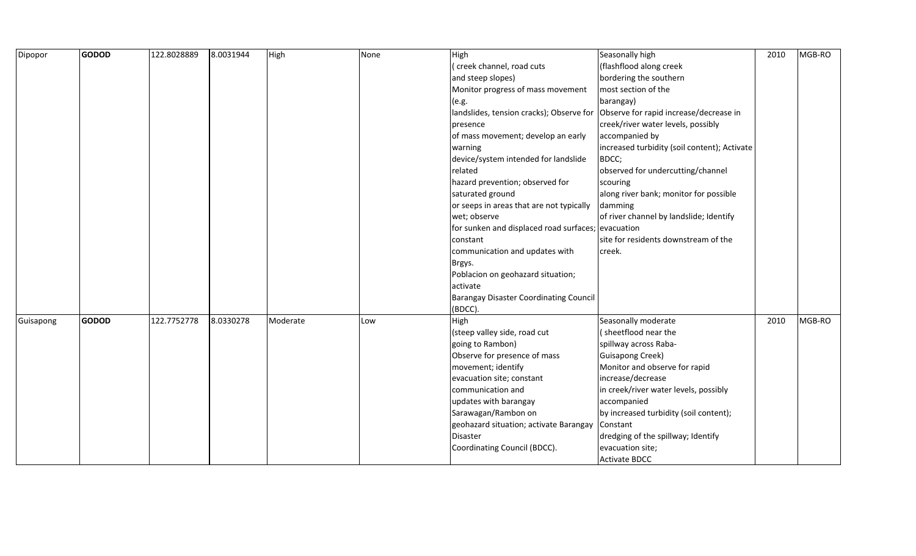| Dipopor   | <b>GODOD</b> | 122.8028889 | 8.0031944 | High     | None | High                                               | Seasonally high                              | 2010 | MGB-RO |
|-----------|--------------|-------------|-----------|----------|------|----------------------------------------------------|----------------------------------------------|------|--------|
|           |              |             |           |          |      | (creek channel, road cuts                          | (flashflood along creek                      |      |        |
|           |              |             |           |          |      | and steep slopes)                                  | bordering the southern                       |      |        |
|           |              |             |           |          |      | Monitor progress of mass movement                  | most section of the                          |      |        |
|           |              |             |           |          |      | (e.g.                                              | barangay)                                    |      |        |
|           |              |             |           |          |      | landslides, tension cracks); Observe for           | Observe for rapid increase/decrease in       |      |        |
|           |              |             |           |          |      | presence                                           | creek/river water levels, possibly           |      |        |
|           |              |             |           |          |      | of mass movement; develop an early                 | accompanied by                               |      |        |
|           |              |             |           |          |      | warning                                            | increased turbidity (soil content); Activate |      |        |
|           |              |             |           |          |      | device/system intended for landslide               | BDCC;                                        |      |        |
|           |              |             |           |          |      | related                                            | observed for undercutting/channel            |      |        |
|           |              |             |           |          |      | hazard prevention; observed for                    | scouring                                     |      |        |
|           |              |             |           |          |      | saturated ground                                   | along river bank; monitor for possible       |      |        |
|           |              |             |           |          |      | or seeps in areas that are not typically           | damming                                      |      |        |
|           |              |             |           |          |      | wet; observe                                       | of river channel by landslide; Identify      |      |        |
|           |              |             |           |          |      | for sunken and displaced road surfaces; evacuation |                                              |      |        |
|           |              |             |           |          |      | constant                                           | site for residents downstream of the         |      |        |
|           |              |             |           |          |      | communication and updates with                     | creek.                                       |      |        |
|           |              |             |           |          |      | Brgys.                                             |                                              |      |        |
|           |              |             |           |          |      | Poblacion on geohazard situation;                  |                                              |      |        |
|           |              |             |           |          |      | activate                                           |                                              |      |        |
|           |              |             |           |          |      | <b>Barangay Disaster Coordinating Council</b>      |                                              |      |        |
|           |              |             |           |          |      | (BDCC).                                            |                                              |      |        |
| Guisapong | <b>GODOD</b> | 122.7752778 | 8.0330278 | Moderate | Low  | High                                               | Seasonally moderate                          | 2010 | MGB-RO |
|           |              |             |           |          |      | (steep valley side, road cut                       | (sheetflood near the                         |      |        |
|           |              |             |           |          |      | going to Rambon)                                   | spillway across Raba-                        |      |        |
|           |              |             |           |          |      | Observe for presence of mass                       | <b>Guisapong Creek)</b>                      |      |        |
|           |              |             |           |          |      | movement; identify                                 | Monitor and observe for rapid                |      |        |
|           |              |             |           |          |      | evacuation site; constant                          | increase/decrease                            |      |        |
|           |              |             |           |          |      | communication and                                  | in creek/river water levels, possibly        |      |        |
|           |              |             |           |          |      | updates with barangay                              | accompanied                                  |      |        |
|           |              |             |           |          |      | Sarawagan/Rambon on                                | by increased turbidity (soil content);       |      |        |
|           |              |             |           |          |      | geohazard situation; activate Barangay             | Constant                                     |      |        |
|           |              |             |           |          |      | Disaster                                           | dredging of the spillway; Identify           |      |        |
|           |              |             |           |          |      | Coordinating Council (BDCC).                       | evacuation site;                             |      |        |
|           |              |             |           |          |      |                                                    | <b>Activate BDCC</b>                         |      |        |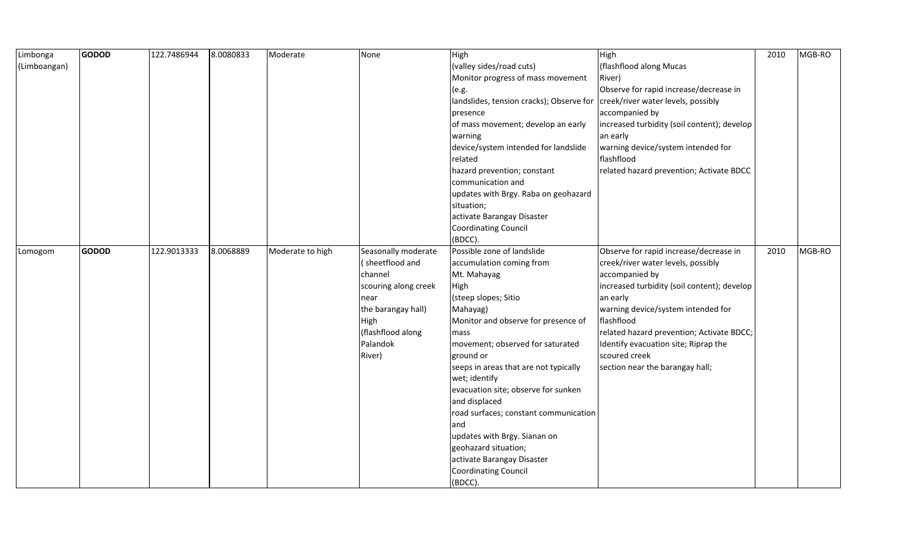| Limbonga     | <b>GODOD</b> | 122.7486944 | 8.0080833 | Moderate         | None                 | High                                     | High                                        | 2010 | MGB-RO |
|--------------|--------------|-------------|-----------|------------------|----------------------|------------------------------------------|---------------------------------------------|------|--------|
| (Limboangan) |              |             |           |                  |                      | (valley sides/road cuts)                 | (flashflood along Mucas                     |      |        |
|              |              |             |           |                  |                      | Monitor progress of mass movement        | River)                                      |      |        |
|              |              |             |           |                  |                      | (e.g.                                    | Observe for rapid increase/decrease in      |      |        |
|              |              |             |           |                  |                      | landslides, tension cracks); Observe for | creek/river water levels, possibly          |      |        |
|              |              |             |           |                  |                      | presence                                 | accompanied by                              |      |        |
|              |              |             |           |                  |                      | of mass movement; develop an early       | increased turbidity (soil content); develop |      |        |
|              |              |             |           |                  |                      | warning                                  | an early                                    |      |        |
|              |              |             |           |                  |                      | device/system intended for landslide     | warning device/system intended for          |      |        |
|              |              |             |           |                  |                      | related                                  | flashflood                                  |      |        |
|              |              |             |           |                  |                      | hazard prevention; constant              | related hazard prevention; Activate BDCC    |      |        |
|              |              |             |           |                  |                      | communication and                        |                                             |      |        |
|              |              |             |           |                  |                      | updates with Brgy. Raba on geohazard     |                                             |      |        |
|              |              |             |           |                  |                      | situation;                               |                                             |      |        |
|              |              |             |           |                  |                      | activate Barangay Disaster               |                                             |      |        |
|              |              |             |           |                  |                      | Coordinating Council                     |                                             |      |        |
|              |              |             |           |                  |                      | (BDCC).                                  |                                             |      |        |
| Lomogom      | <b>GODOD</b> | 122.9013333 | 8.0068889 | Moderate to high | Seasonally moderate  | Possible zone of landslide               | Observe for rapid increase/decrease in      | 2010 | MGB-RO |
|              |              |             |           |                  | (sheetflood and      | accumulation coming from                 | creek/river water levels, possibly          |      |        |
|              |              |             |           |                  | channel              | Mt. Mahayag                              | accompanied by                              |      |        |
|              |              |             |           |                  | scouring along creek | High                                     | increased turbidity (soil content); develop |      |        |
|              |              |             |           |                  | near                 | (steep slopes; Sitio                     | an early                                    |      |        |
|              |              |             |           |                  | the barangay hall)   | Mahayag)                                 | warning device/system intended for          |      |        |
|              |              |             |           |                  | High                 | Monitor and observe for presence of      | flashflood                                  |      |        |
|              |              |             |           |                  | (flashflood along    | mass                                     | related hazard prevention; Activate BDCC;   |      |        |
|              |              |             |           |                  | Palandok             | movement; observed for saturated         | Identify evacuation site; Riprap the        |      |        |
|              |              |             |           |                  | River)               | ground or                                | scoured creek                               |      |        |
|              |              |             |           |                  |                      | seeps in areas that are not typically    | section near the barangay hall;             |      |        |
|              |              |             |           |                  |                      | wet; identify                            |                                             |      |        |
|              |              |             |           |                  |                      | evacuation site; observe for sunken      |                                             |      |        |
|              |              |             |           |                  |                      | and displaced                            |                                             |      |        |
|              |              |             |           |                  |                      | road surfaces; constant communication    |                                             |      |        |
|              |              |             |           |                  |                      | and                                      |                                             |      |        |
|              |              |             |           |                  |                      | updates with Brgy. Sianan on             |                                             |      |        |
|              |              |             |           |                  |                      | geohazard situation;                     |                                             |      |        |
|              |              |             |           |                  |                      | activate Barangay Disaster               |                                             |      |        |
|              |              |             |           |                  |                      | <b>Coordinating Council</b>              |                                             |      |        |
|              |              |             |           |                  |                      | (BDCC).                                  |                                             |      |        |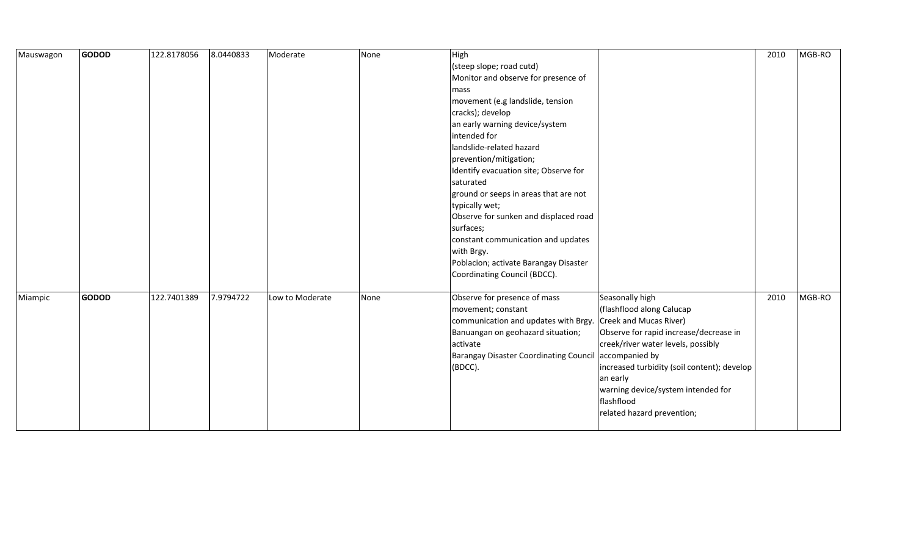| Mauswagon | <b>GODOD</b> | 122.8178056 | 8.0440833 | Moderate        | None | High                                          |                                             | 2010 | MGB-RO |
|-----------|--------------|-------------|-----------|-----------------|------|-----------------------------------------------|---------------------------------------------|------|--------|
|           |              |             |           |                 |      | (steep slope; road cutd)                      |                                             |      |        |
|           |              |             |           |                 |      | Monitor and observe for presence of           |                                             |      |        |
|           |              |             |           |                 |      | mass                                          |                                             |      |        |
|           |              |             |           |                 |      | movement (e.g landslide, tension              |                                             |      |        |
|           |              |             |           |                 |      | cracks); develop                              |                                             |      |        |
|           |              |             |           |                 |      | an early warning device/system                |                                             |      |        |
|           |              |             |           |                 |      | intended for                                  |                                             |      |        |
|           |              |             |           |                 |      | landslide-related hazard                      |                                             |      |        |
|           |              |             |           |                 |      | prevention/mitigation;                        |                                             |      |        |
|           |              |             |           |                 |      | Identify evacuation site; Observe for         |                                             |      |        |
|           |              |             |           |                 |      | saturated                                     |                                             |      |        |
|           |              |             |           |                 |      | ground or seeps in areas that are not         |                                             |      |        |
|           |              |             |           |                 |      | typically wet;                                |                                             |      |        |
|           |              |             |           |                 |      | Observe for sunken and displaced road         |                                             |      |        |
|           |              |             |           |                 |      | surfaces;                                     |                                             |      |        |
|           |              |             |           |                 |      | constant communication and updates            |                                             |      |        |
|           |              |             |           |                 |      | with Brgy.                                    |                                             |      |        |
|           |              |             |           |                 |      | Poblacion; activate Barangay Disaster         |                                             |      |        |
|           |              |             |           |                 |      | Coordinating Council (BDCC).                  |                                             |      |        |
|           |              |             |           |                 |      |                                               |                                             |      |        |
| Miampic   | <b>GODOD</b> | 122.7401389 | 7.9794722 | Low to Moderate | None | Observe for presence of mass                  | Seasonally high                             | 2010 | MGB-RO |
|           |              |             |           |                 |      | movement; constant                            | (flashflood along Calucap                   |      |        |
|           |              |             |           |                 |      | communication and updates with Brgy.          | Creek and Mucas River)                      |      |        |
|           |              |             |           |                 |      | Banuangan on geohazard situation;             | Observe for rapid increase/decrease in      |      |        |
|           |              |             |           |                 |      | activate                                      | creek/river water levels, possibly          |      |        |
|           |              |             |           |                 |      | <b>Barangay Disaster Coordinating Council</b> | accompanied by                              |      |        |
|           |              |             |           |                 |      | (BDCC).                                       | increased turbidity (soil content); develop |      |        |
|           |              |             |           |                 |      |                                               | an early                                    |      |        |
|           |              |             |           |                 |      |                                               | warning device/system intended for          |      |        |
|           |              |             |           |                 |      |                                               | flashflood                                  |      |        |
|           |              |             |           |                 |      |                                               | related hazard prevention;                  |      |        |
|           |              |             |           |                 |      |                                               |                                             |      |        |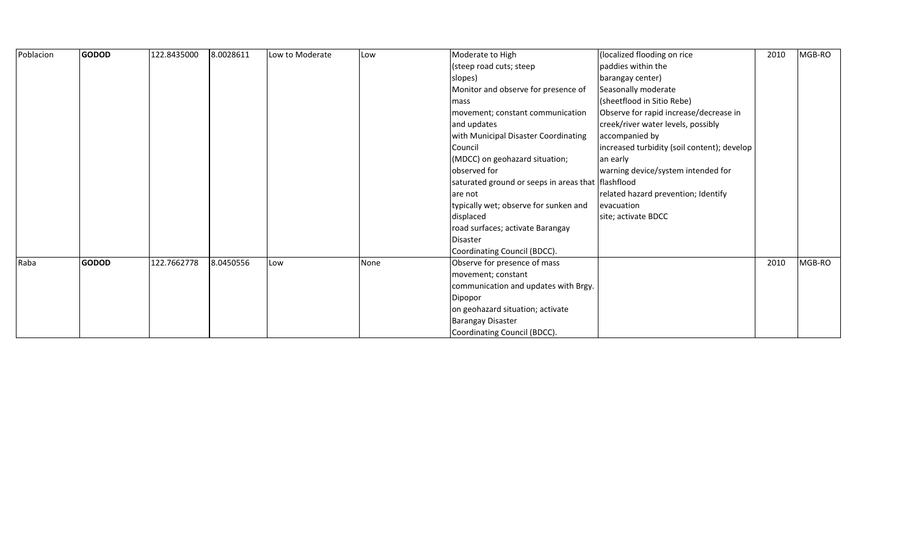| Poblacion | <b>GODOD</b> | 122.8435000 | 8.0028611 | Low to Moderate | Low  | Moderate to High                                     | (localized flooding on rice                 | 2010 | MGB-RO |
|-----------|--------------|-------------|-----------|-----------------|------|------------------------------------------------------|---------------------------------------------|------|--------|
|           |              |             |           |                 |      | (steep road cuts; steep                              | paddies within the                          |      |        |
|           |              |             |           |                 |      | slopes)                                              | barangay center)                            |      |        |
|           |              |             |           |                 |      | Monitor and observe for presence of                  | Seasonally moderate                         |      |        |
|           |              |             |           |                 |      | mass                                                 | (sheetflood in Sitio Rebe)                  |      |        |
|           |              |             |           |                 |      | movement; constant communication                     | Observe for rapid increase/decrease in      |      |        |
|           |              |             |           |                 |      | and updates                                          | creek/river water levels, possibly          |      |        |
|           |              |             |           |                 |      | with Municipal Disaster Coordinating                 | accompanied by                              |      |        |
|           |              |             |           |                 |      | Council                                              | increased turbidity (soil content); develop |      |        |
|           |              |             |           |                 |      | (MDCC) on geohazard situation;                       | an early                                    |      |        |
|           |              |             |           |                 |      | observed for                                         | warning device/system intended for          |      |        |
|           |              |             |           |                 |      | saturated ground or seeps in areas that   flashflood |                                             |      |        |
|           |              |             |           |                 |      | are not                                              | related hazard prevention; Identify         |      |        |
|           |              |             |           |                 |      | typically wet; observe for sunken and                | evacuation                                  |      |        |
|           |              |             |           |                 |      | displaced                                            | site; activate BDCC                         |      |        |
|           |              |             |           |                 |      | road surfaces; activate Barangay                     |                                             |      |        |
|           |              |             |           |                 |      | Disaster                                             |                                             |      |        |
|           |              |             |           |                 |      | Coordinating Council (BDCC).                         |                                             |      |        |
| Raba      | <b>GODOD</b> | 122.7662778 | 8.0450556 | Low             | None | Observe for presence of mass                         |                                             | 2010 | MGB-RO |
|           |              |             |           |                 |      | movement; constant                                   |                                             |      |        |
|           |              |             |           |                 |      | communication and updates with Brgy.                 |                                             |      |        |
|           |              |             |           |                 |      | Dipopor                                              |                                             |      |        |
|           |              |             |           |                 |      | on geohazard situation; activate                     |                                             |      |        |
|           |              |             |           |                 |      | <b>Barangay Disaster</b>                             |                                             |      |        |
|           |              |             |           |                 |      | Coordinating Council (BDCC).                         |                                             |      |        |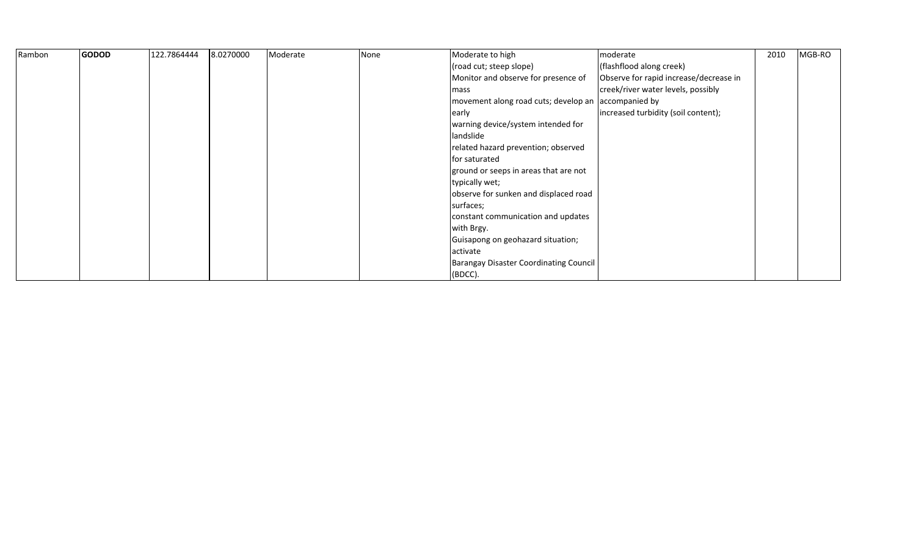| Rambon | <b>GODOD</b> | 122.7864444 | 8.0270000 | Moderate | None | Moderate to high                                    | moderate                               | 2010 | MGB-RO |
|--------|--------------|-------------|-----------|----------|------|-----------------------------------------------------|----------------------------------------|------|--------|
|        |              |             |           |          |      | (road cut; steep slope)                             | (flashflood along creek)               |      |        |
|        |              |             |           |          |      | Monitor and observe for presence of                 | Observe for rapid increase/decrease in |      |        |
|        |              |             |           |          |      | mass                                                | creek/river water levels, possibly     |      |        |
|        |              |             |           |          |      | movement along road cuts; develop an accompanied by |                                        |      |        |
|        |              |             |           |          |      | early                                               | increased turbidity (soil content);    |      |        |
|        |              |             |           |          |      | warning device/system intended for                  |                                        |      |        |
|        |              |             |           |          |      | landslide                                           |                                        |      |        |
|        |              |             |           |          |      | related hazard prevention; observed                 |                                        |      |        |
|        |              |             |           |          |      | for saturated                                       |                                        |      |        |
|        |              |             |           |          |      | ground or seeps in areas that are not               |                                        |      |        |
|        |              |             |           |          |      | typically wet;                                      |                                        |      |        |
|        |              |             |           |          |      | observe for sunken and displaced road               |                                        |      |        |
|        |              |             |           |          |      | surfaces;                                           |                                        |      |        |
|        |              |             |           |          |      | constant communication and updates                  |                                        |      |        |
|        |              |             |           |          |      | with Brgy.                                          |                                        |      |        |
|        |              |             |           |          |      | Guisapong on geohazard situation;                   |                                        |      |        |
|        |              |             |           |          |      | activate                                            |                                        |      |        |
|        |              |             |           |          |      | <b>Barangay Disaster Coordinating Council</b>       |                                        |      |        |
|        |              |             |           |          |      | (BDCC).                                             |                                        |      |        |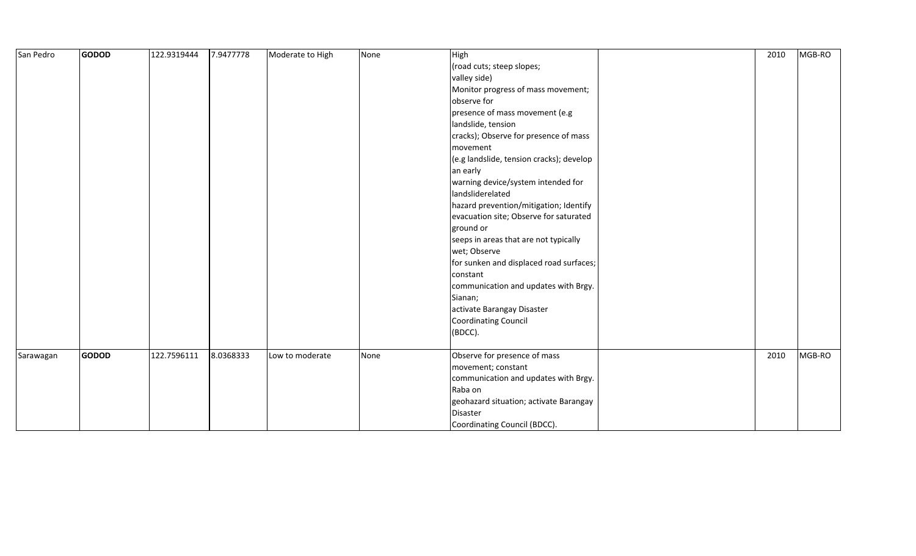| San Pedro | <b>GODOD</b> | 122.9319444 | 7.9477778 | Moderate to High | None | High                                     | 2010 | MGB-RO |
|-----------|--------------|-------------|-----------|------------------|------|------------------------------------------|------|--------|
|           |              |             |           |                  |      | (road cuts; steep slopes;                |      |        |
|           |              |             |           |                  |      | valley side)                             |      |        |
|           |              |             |           |                  |      | Monitor progress of mass movement;       |      |        |
|           |              |             |           |                  |      | observe for                              |      |        |
|           |              |             |           |                  |      | presence of mass movement (e.g           |      |        |
|           |              |             |           |                  |      | landslide, tension                       |      |        |
|           |              |             |           |                  |      | cracks); Observe for presence of mass    |      |        |
|           |              |             |           |                  |      | movement                                 |      |        |
|           |              |             |           |                  |      | (e.g landslide, tension cracks); develop |      |        |
|           |              |             |           |                  |      | an early                                 |      |        |
|           |              |             |           |                  |      | warning device/system intended for       |      |        |
|           |              |             |           |                  |      | landsliderelated                         |      |        |
|           |              |             |           |                  |      | hazard prevention/mitigation; Identify   |      |        |
|           |              |             |           |                  |      | evacuation site; Observe for saturated   |      |        |
|           |              |             |           |                  |      | ground or                                |      |        |
|           |              |             |           |                  |      | seeps in areas that are not typically    |      |        |
|           |              |             |           |                  |      | wet; Observe                             |      |        |
|           |              |             |           |                  |      | for sunken and displaced road surfaces;  |      |        |
|           |              |             |           |                  |      | constant                                 |      |        |
|           |              |             |           |                  |      | communication and updates with Brgy.     |      |        |
|           |              |             |           |                  |      | Sianan;                                  |      |        |
|           |              |             |           |                  |      | activate Barangay Disaster               |      |        |
|           |              |             |           |                  |      | Coordinating Council                     |      |        |
|           |              |             |           |                  |      | (BDCC).                                  |      |        |
|           |              |             |           |                  |      |                                          |      |        |
| Sarawagan | <b>GODOD</b> | 122.7596111 | 8.0368333 | Low to moderate  | None | Observe for presence of mass             | 2010 | MGB-RO |
|           |              |             |           |                  |      | movement; constant                       |      |        |
|           |              |             |           |                  |      | communication and updates with Brgy.     |      |        |
|           |              |             |           |                  |      | Raba on                                  |      |        |
|           |              |             |           |                  |      | geohazard situation; activate Barangay   |      |        |
|           |              |             |           |                  |      | Disaster                                 |      |        |
|           |              |             |           |                  |      | Coordinating Council (BDCC).             |      |        |